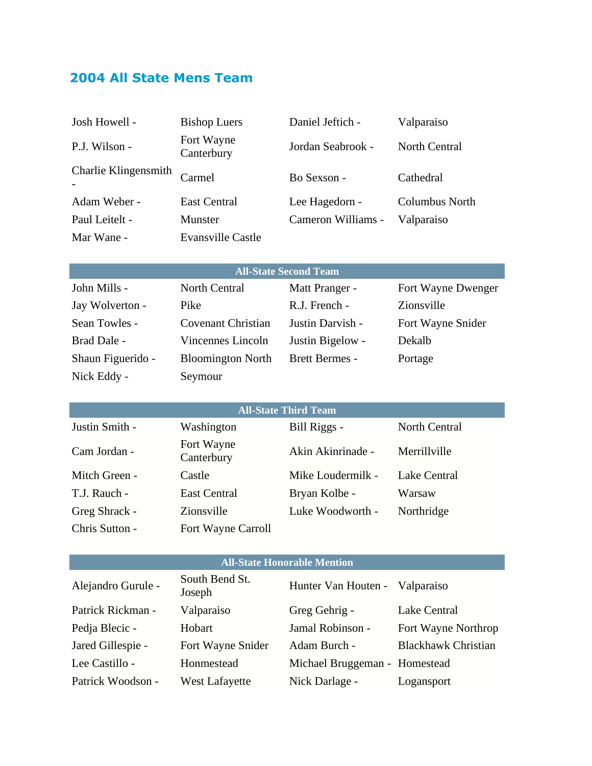# **2004 All State Mens Team**

Nick Eddy - Seymour

| Josh Howell -                | <b>Bishop Luers</b>      | Daniel Jeftich -   | Valparaiso            |
|------------------------------|--------------------------|--------------------|-----------------------|
| P.J. Wilson -                | Fort Wayne<br>Canterbury | Jordan Seabrook -  | North Central         |
| Charlie Klingensmith         | Carmel                   | Bo Sexson -        | Cathedral             |
| Adam Weber -                 | <b>East Central</b>      | Lee Hagedorn -     | <b>Columbus North</b> |
| Paul Leitelt -               | Munster                  | Cameron Williams - | Valparaiso            |
| Mar Wane -                   | <b>Evansville Castle</b> |                    |                       |
|                              |                          |                    |                       |
| <b>All-State Second Team</b> |                          |                    |                       |
| John Mills -                 | North Central            | Matt Pranger -     | Fort Wayne Dwenger    |
| Jay Wolverton -              | Pike                     | R.J. French -      | Zionsville            |

Sean Towles - Covenant Christian Justin Darvish - Fort Wayne Snider

Brad Dale - Vincennes Lincoln Justin Bigelow - Dekalb Shaun Figuerido - Bloomington North Brett Bermes - Portage

| <b>All-State Third Team</b> |                          |                   |               |  |
|-----------------------------|--------------------------|-------------------|---------------|--|
| Justin Smith -              | Washington               | Bill Riggs -      | North Central |  |
| Cam Jordan -                | Fort Wayne<br>Canterbury | Akin Akinrinade - | Merrillville  |  |
| Mitch Green -               | Castle                   | Mike Loudermilk - | Lake Central  |  |
| T.J. Rauch -                | <b>East Central</b>      | Bryan Kolbe -     | Warsaw        |  |
| Greg Shrack -               | Zionsville               | Luke Woodworth -  | Northridge    |  |
| Chris Sutton -              | Fort Wayne Carroll       |                   |               |  |

#### **All-State Honorable Mention**

| Alejandro Gurule - | South Bend St.<br>Joseph | Hunter Van Houten - Valparaiso |                            |
|--------------------|--------------------------|--------------------------------|----------------------------|
| Patrick Rickman -  | Valparaiso               | Greg Gehrig -                  | Lake Central               |
| Pedia Blecic -     | Hobart                   | Jamal Robinson -               | Fort Wayne Northrop        |
| Jared Gillespie -  | Fort Wayne Snider        | Adam Burch -                   | <b>Blackhawk Christian</b> |
| Lee Castillo -     | Honmestead               | Michael Bruggeman - Homestead  |                            |
| Patrick Woodson -  | <b>West Lafayette</b>    | Nick Darlage -                 | Logansport                 |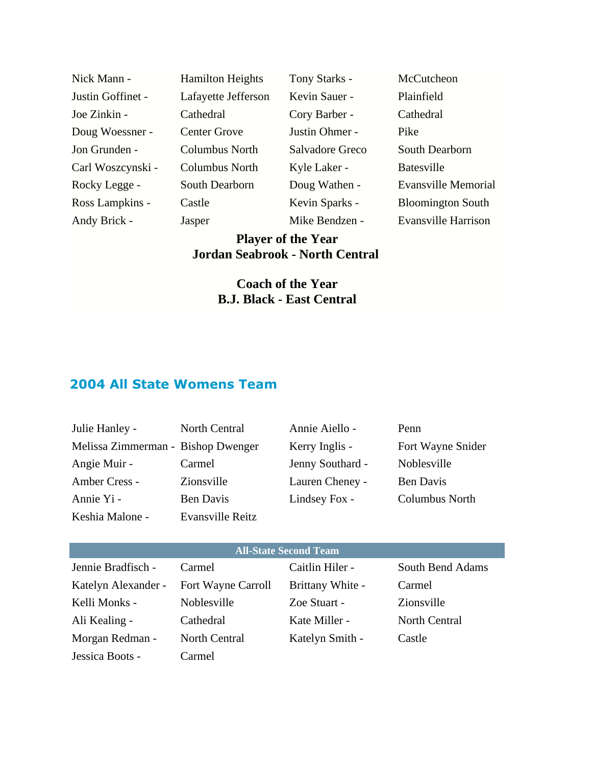| Nick Mann -       | <b>Hamilton Heights</b> | Tony Starks -   | McCutcheon                 |
|-------------------|-------------------------|-----------------|----------------------------|
| Justin Goffinet - | Lafayette Jefferson     | Kevin Sauer -   | Plainfield                 |
| Joe Zinkin -      | Cathedral               | Cory Barber -   | Cathedral                  |
| Doug Woessner -   | <b>Center Grove</b>     | Justin Ohmer -  | Pike                       |
| Jon Grunden -     | Columbus North          | Salvadore Greco | South Dearborn             |
| Carl Woszcynski - | <b>Columbus North</b>   | Kyle Laker -    | <b>Batesville</b>          |
| Rocky Legge -     | South Dearborn          | Doug Wathen -   | Evansville Memorial        |
| Ross Lampkins -   | Castle                  | Kevin Sparks -  | <b>Bloomington South</b>   |
| Andy Brick -      | Jasper                  | Mike Bendzen -  | <b>Evansville Harrison</b> |
|                   |                         |                 |                            |

### **Player of the Year Jordan Seabrook - North Central**

### **Coach of the Year B.J. Black - East Central**

## **2004 All State Womens Team**

| Julie Hanley -                     | North Central    | Annie Aiello -   | Penn                  |
|------------------------------------|------------------|------------------|-----------------------|
| Melissa Zimmerman - Bishop Dwenger |                  | Kerry Inglis -   | Fort Wayne Snider     |
| Angie Muir -                       | Carmel           | Jenny Southard - | Noblesville           |
| Amber Cress -                      | Zionsville       | Lauren Cheney -  | <b>Ben Davis</b>      |
| Annie Yi -                         | Ben Davis        | Lindsey Fox -    | <b>Columbus North</b> |
| Keshia Malone -                    | Evansville Reitz |                  |                       |

#### **All-State Second Team**

| Jennie Bradfisch -  | Carmel                    | Caitlin Hiler -  | South Bend Adams |
|---------------------|---------------------------|------------------|------------------|
| Katelyn Alexander - | <b>Fort Wayne Carroll</b> | Brittany White - | Carmel           |
| Kelli Monks -       | Noblesville               | Zoe Stuart -     | Zionsville       |
| Ali Kealing -       | Cathedral                 | Kate Miller -    | North Central    |
| Morgan Redman -     | North Central             | Katelyn Smith -  | Castle           |
| Jessica Boots -     | Carmel                    |                  |                  |